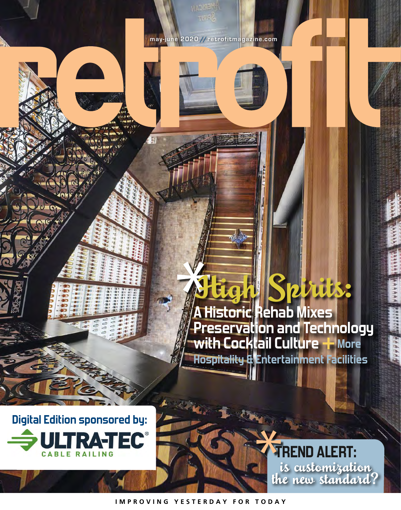**A Historic Rehab Mixes Preservation and Technology with Cocktail Culture+ More Hospitality & Entertainment Facilities** High Spirits:

**Digital Edition sponsored by: ULTRATEC®** 

**TREND ALERT:**  is customization the new standard?

**IMPROVING YESTERDAY FOR TODAY**

**may-june 2020 //retrofitmagazine.com**

 $\overline{\mathfrak{g}}$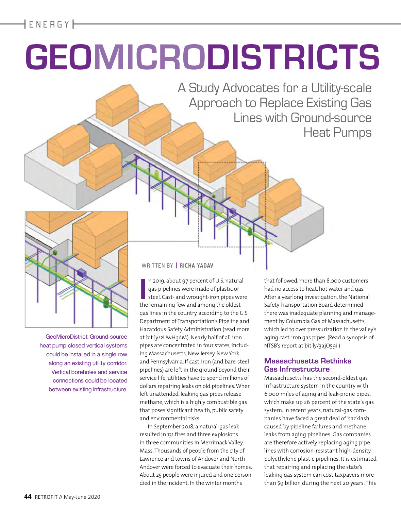**|** ENERGY **|**

# **GEOMICRODISTRICTS**

A Study Advocates for a Utility-scale Approach to Replace Existing Gas Lines with Ground-source Heat Pumps



GeoMicroDistrict: Ground-source heat pump closed vertical systems could be installed in a single row along an existing utility corridor. Vertical boreholes and service connections could be located between existing infrastructure.

#### WRITTEN BY **| RICHA YADAV**

In 2019, about 97 percent of U.S. natura<br>
gas pipelines were made of plastic or<br>
steel. Cast- and wrought-iron pipes we<br>
the remaining few and among the oldest n 2019, about 97 percent of U.S. natural gas pipelines were made of plastic or steel. Cast- and wrought-iron pipes were gas lines in the country, according to the U.S. Department of Transportation's Pipeline and Hazardous Safety Administration (read more at bit.ly/2UwHgdM). Nearly half of all iron pipes are concentrated in four states, including Massachusetts, New Jersey, New York and Pennsylvania. If cast-iron (and bare-steel pipelines) are left in the ground beyond their service life, utilities have to spend millions of dollars repairing leaks on old pipelines. When left unattended, leaking gas pipes release methane, which is a highly combustible gas that poses significant health, public safety and environmental risks.

In September 2018, a natural-gas leak resulted in 131 fires and three explosions in three communities in Merrimack Valley, Mass. Thousands of people from the city of Lawrence and towns of Andover and North Andover were forced to evacuate their homes. About 25 people were injured and one person died in the incident. In the winter months

that followed, more than 8,000 customers had no access to heat, hot water and gas. After a yearlong investigation, the National Safety Transportation Board determined there was inadequate planning and management by Columbia Gas of Massachusetts, which led to over pressurization in the valley's aging cast-iron gas pipes. (Read a synopsis of NTSB's report at bit.ly/3ajO59i.)

#### **Massachusetts Rethinks Gas Infrastructure**

Massachusetts has the second-oldest gas infrastructure system in the country with 6,000 miles of aging and leak-prone pipes, which make up 26 percent of the state's gas system. In recent years, natural-gas companies have faced a great deal of backlash caused by pipeline failures and methane leaks from aging pipelines. Gas companies are therefore actively replacing aging pipelines with corrosion-resistant high-density polyethylene plastic pipelines. It is estimated that repairing and replacing the state's leaking gas system can cost taxpayers more than \$9 billion during the next 20 years. This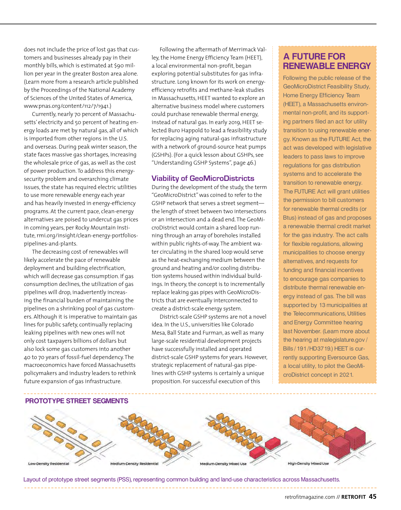does not include the price of lost gas that customers and businesses already pay in their monthly bills, which is estimated at \$90 million per year in the greater Boston area alone. (Learn more from a research article published by the Proceedings of the National Academy of Sciences of the United States of America, www.pnas.org/content/112/7/1941.)

Currently, nearly 70 percent of Massachusetts' electricity and 50 percent of heating energy loads are met by natural gas, all of which is imported from other regions in the U.S. and overseas. During peak winter season, the state faces massive gas shortages, increasing the wholesale price of gas, as well as the cost of power production. To address this energysecurity problem and overarching climate issues, the state has required electric utilities to use more renewable energy each year and has heavily invested in energy-efficiency programs. At the current pace, clean-energy alternatives are poised to undercut gas prices in coming years, per Rocky Mountain Institute, rmi.org/insight/clean-energy-portfoliospipelines-and-plants.

The decreasing cost of renewables will likely accelerate the pace of renewable deployment and building electrification, which will decrease gas consumption. If gas consumption declines, the utilization of gas pipelines will drop, inadvertently increasing the financial burden of maintaining the pipelines on a shrinking pool of gas customers. Although it is imperative to maintain gas lines for public safety, continually replacing leaking pipelines with new ones will not only cost taxpayers billions of dollars but also lock some gas customers into another 40 to 70 years of fossil-fuel dependency. The macroeconomics have forced Massachusetts policymakers and industry leaders to rethink future expansion of gas infrastructure.

Following the aftermath of Merrimack Valley, the Home Energy Efficiency Team (HEET), a local environmental non-profit, began exploring potential substitutes for gas infrastructure. Long known for its work on energyefficiency retrofits and methane-leak studies in Massachusetts, HEET wanted to explore an alternative business model where customers could purchase renewable thermal energy, instead of natural gas. In early 2019, HEET selected Buro Happold to lead a feasibility study for replacing aging natural-gas infrastructure with a network of ground-source heat pumps (GSHPs). (For a quick lesson about GSHPs, see "Understanding GSHP Systems", page 46.)

#### **Viability of GeoMicroDistricts**

During the development of the study, the term "GeoMicroDistrict" was coined to refer to the GSHP network that serves a street segment the length of street between two intersections or an intersection and a dead end. The GeoMicroDistrict would contain a shared loop running through an array of boreholes installed within public rights-of-way. The ambient water circulating in the shared loop would serve as the heat-exchanging medium between the ground and heating and/or cooling distribution systems housed within individual buildings. In theory, the concept is to incrementally replace leaking gas pipes with GeoMicroDistricts that are eventually interconnected to create a district-scale energy system.

District-scale GSHP systems are not a novel idea. In the U.S., universities like Colorado Mesa, Ball State and Furman, as well as many large-scale residential development projects have successfully installed and operated district-scale GSHP systems for years. However, strategic replacement of natural-gas pipelines with GSHP systems is certainly a unique proposition. For successful execution of this

# **A FUTURE FOR RENEWABLE ENERGY**

Following the public release of the GeoMicroDistrict Feasibility Study, Home Energy Efficiency Team (HEET), a Massachusetts environmental non-profit, and its supporting partners filed an act for utility transition to using renewable energy. Known as the FUTURE Act, the act was developed with legislative leaders to pass laws to improve regulations for gas distribution systems and to accelerate the transition to renewable energy. The FUTURE Act will grant utilities the permission to bill customers for renewable thermal credits (or Btus) instead of gas and proposes a renewable thermal credit market for the gas industry. The act calls for flexible regulations, allowing municipalities to choose energy alternatives, and requests for funding and financial incentives to encourage gas companies to distribute thermal renewable energy instead of gas. The bill was supported by 13 municipalities at the Telecommunications, Utilities and Energy Committee hearing last November. (Learn more about the hearing at malegislature.gov/ Bills/191/HD3719.) HEET is currently supporting Eversource Gas, a local utility, to pilot the GeoMicroDistrict concept in 2021.



Layout of prototype street segments (PSS), representing common building and land-use characteristics across Massachusetts.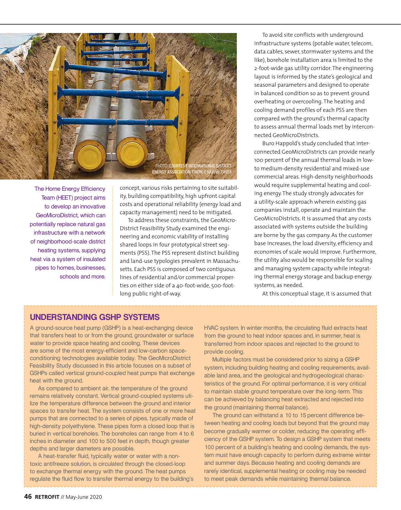

The Home Energy Efficiency Team (HEET) project aims to develop an innovative GeoMicroDistrict, which can potentially replace natural gas infrastructure with a network of neighborhood-scale district heating systems, supplying heat via a system of insulated pipes to homes, businesses, schools and more.

concept, various risks pertaining to site suitability, building compatibility, high upfront capital costs and operational reliability (energy load and capacity management) need to be mitigated.

To address these constraints, the GeoMicro-District Feasibility Study examined the engineering and economic viability of installing shared loops in four prototypical street segments (PSS). The PSS represent distinct building and land-use typologies prevalent in Massachusetts. Each PSS is composed of two contiguous lines of residential and/or commercial properties on either side of a 40-foot-wide, 500-footlong public right-of-way.

To avoid site conflicts with underground infrastructure systems (potable water, telecom, data cables, sewer, stormwater systems and the like), borehole installation area is limited to the 2-foot-wide gas utility corridor. The engineering layout is informed by the state's geological and seasonal parameters and designed to operate in balanced condition so as to prevent ground overheating or overcooling. The heating and cooling demand profiles of each PSS are then compared with the ground's thermal capacity to assess annual thermal loads met by interconnected GeoMicroDistricts.

Buro Happold's study concluded that interconnected GeoMicroDistricts can provide nearly 100 percent of the annual thermal loads in lowto medium-density residential and mixed-use commercial areas. High-density neighborhoods would require supplemental heating and cooling energy. The study strongly advocates for a utility-scale approach wherein existing gas companies install, operate and maintain the GeoMicroDistricts. It is assumed that any costs associated with systems outside the building are borne by the gas company. As the customer base increases, the load diversity, efficiency and economies of scale would improve. Furthermore, the utility also would be responsible for scaling and managing system capacity while integrating thermal energy storage and backup energy systems, as needed.

At this conceptual stage, it is assumed that

# **UNDERSTANDING GSHP SYSTEMS**

A ground-source heat pump (GSHP) is a heat-exchanging device that transfers heat to or from the ground, groundwater or surface water to provide space heating and cooling. These devices are some of the most energy-efficient and low-carbon spaceconditioning technologies available today. The GeoMicroDistrict Feasibility Study discussed in this article focuses on a subset of GSHPs called vertical ground-coupled heat pumps that exchange heat with the ground.

As compared to ambient air, the temperature of the ground remains relatively constant. Vertical ground-coupled systems utilize the temperature difference between the ground and interior spaces to transfer heat. The system consists of one or more heat pumps that are connected to a series of pipes, typically made of high-density polyethylene. These pipes form a closed loop that is buried in vertical boreholes. The boreholes can range from 4 to 6 inches in diameter and 100 to 500 feet in depth, though greater depths and larger diameters are possible.

A heat-transfer fluid, typically water or water with a nontoxic antifreeze solution, is circulated through the closed-loop to exchange thermal energy with the ground. The heat pumps regulate the fluid flow to transfer thermal energy to the building's HVAC system. In winter months, the circulating fluid extracts heat from the ground to heat indoor spaces and, in summer, heat is transferred from indoor spaces and rejected to the ground to provide cooling.

Multiple factors must be considered prior to sizing a GSHP system, including building heating and cooling requirements, available land area, and the geological and hydrogeological characteristics of the ground. For optimal performance, it is very critical to maintain stable ground temperature over the long-term. This can be achieved by balancing heat extracted and rejected into the ground (maintaining thermal balance).

The ground can withstand a 10 to 15 percent difference between heating and cooling loads but beyond that the ground may become gradually warmer or colder, reducing the operating efficiency of the GSHP system. To design a GSHP system that meets 100 percent of a building's heating and cooling demands, the system must have enough capacity to perform during extreme winter and summer days. Because heating and cooling demands are rarely identical, supplemental heating or cooling may be needed to meet peak demands while maintaining thermal balance.